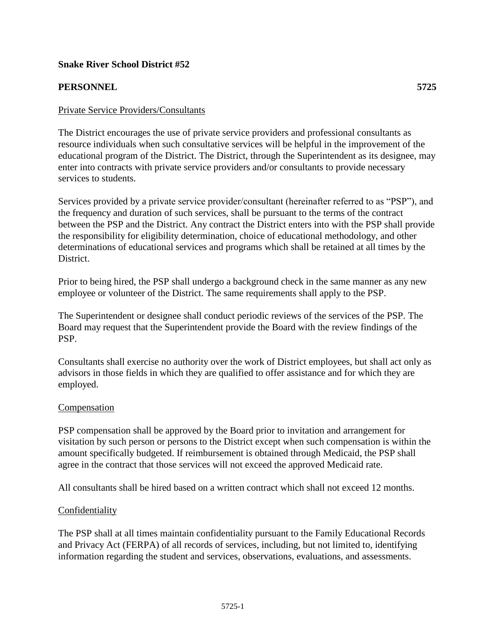### **Snake River School District #52**

# **PERSONNEL 5725**

The District encourages the use of private service providers and professional consultants as resource individuals when such consultative services will be helpful in the improvement of the educational program of the District. The District, through the Superintendent as its designee, may enter into contracts with private service providers and/or consultants to provide necessary services to students.

Services provided by a private service provider/consultant (hereinafter referred to as "PSP"), and the frequency and duration of such services, shall be pursuant to the terms of the contract between the PSP and the District. Any contract the District enters into with the PSP shall provide the responsibility for eligibility determination, choice of educational methodology, and other determinations of educational services and programs which shall be retained at all times by the District.

Prior to being hired, the PSP shall undergo a background check in the same manner as any new employee or volunteer of the District. The same requirements shall apply to the PSP.

The Superintendent or designee shall conduct periodic reviews of the services of the PSP. The Board may request that the Superintendent provide the Board with the review findings of the PSP.

Consultants shall exercise no authority over the work of District employees, but shall act only as advisors in those fields in which they are qualified to offer assistance and for which they are employed.

### **Compensation**

PSP compensation shall be approved by the Board prior to invitation and arrangement for visitation by such person or persons to the District except when such compensation is within the amount specifically budgeted. If reimbursement is obtained through Medicaid, the PSP shall agree in the contract that those services will not exceed the approved Medicaid rate.

All consultants shall be hired based on a written contract which shall not exceed 12 months.

### Confidentiality

The PSP shall at all times maintain confidentiality pursuant to the Family Educational Records and Privacy Act (FERPA) of all records of services, including, but not limited to, identifying information regarding the student and services, observations, evaluations, and assessments.